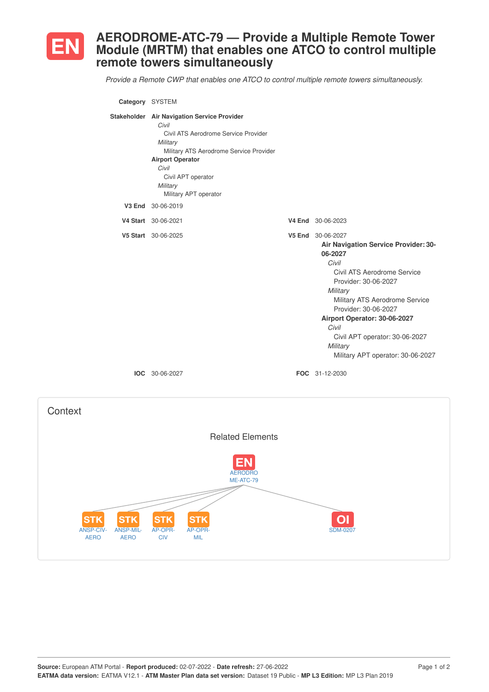

## **AERODROME-ATC-79 — Provide a Multiple Remote Tower Module (MRTM) that enables one ATCO to control multiple remote towers simultaneously**

*Provide a Remote CWP that enables one ATCO to control multiple remote towers simultaneously.*

| Category SYSTEM |                                                                                                                                                                                                                                                    |                                                                                                                                                                                                                                                                                                                                               |
|-----------------|----------------------------------------------------------------------------------------------------------------------------------------------------------------------------------------------------------------------------------------------------|-----------------------------------------------------------------------------------------------------------------------------------------------------------------------------------------------------------------------------------------------------------------------------------------------------------------------------------------------|
|                 | Stakeholder Air Navigation Service Provider<br>Civil<br>Civil ATS Aerodrome Service Provider<br>Military<br>Military ATS Aerodrome Service Provider<br><b>Airport Operator</b><br>Civil<br>Civil APT operator<br>Military<br>Military APT operator |                                                                                                                                                                                                                                                                                                                                               |
|                 | V3 End 30-06-2019                                                                                                                                                                                                                                  |                                                                                                                                                                                                                                                                                                                                               |
|                 | V4 Start 30-06-2021                                                                                                                                                                                                                                | V4 End 30-06-2023                                                                                                                                                                                                                                                                                                                             |
|                 | V5 Start 30-06-2025                                                                                                                                                                                                                                | V5 End 30-06-2027<br><b>Air Navigation Service Provider: 30-</b><br>06-2027<br>Civil<br>Civil ATS Aerodrome Service<br>Provider: 30-06-2027<br>Military<br>Military ATS Aerodrome Service<br>Provider: 30-06-2027<br>Airport Operator: 30-06-2027<br>Civil<br>Civil APT operator: 30-06-2027<br>Military<br>Military APT operator: 30-06-2027 |
|                 | <b>IOC</b> 30-06-2027                                                                                                                                                                                                                              | FOC 31-12-2030                                                                                                                                                                                                                                                                                                                                |